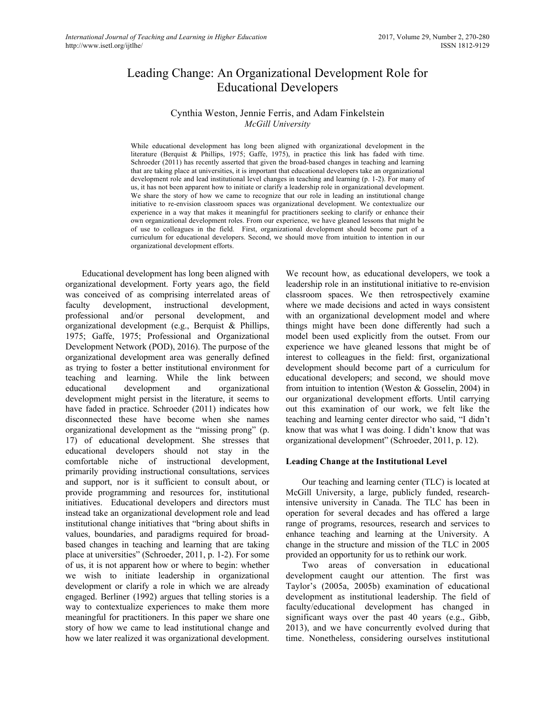# Leading Change: An Organizational Development Role for Educational Developers

# Cynthia Weston, Jennie Ferris, and Adam Finkelstein *McGill University*

While educational development has long been aligned with organizational development in the literature (Berquist & Phillips, 1975; Gaffe, 1975), in practice this link has faded with time. Schroeder (2011) has recently asserted that given the broad-based changes in teaching and learning that are taking place at universities, it is important that educational developers take an organizational development role and lead institutional level changes in teaching and learning (p. 1-2). For many of us, it has not been apparent how to initiate or clarify a leadership role in organizational development. We share the story of how we came to recognize that our role in leading an institutional change initiative to re-envision classroom spaces was organizational development. We contextualize our experience in a way that makes it meaningful for practitioners seeking to clarify or enhance their own organizational development roles. From our experience, we have gleaned lessons that might be of use to colleagues in the field. First, organizational development should become part of a curriculum for educational developers. Second, we should move from intuition to intention in our organizational development efforts.

Educational development has long been aligned with organizational development. Forty years ago, the field was conceived of as comprising interrelated areas of faculty development, instructional development, professional and/or personal development, and organizational development (e.g., Berquist & Phillips, 1975; Gaffe, 1975; Professional and Organizational Development Network (POD), 2016). The purpose of the organizational development area was generally defined as trying to foster a better institutional environment for teaching and learning. While the link between educational development and organizational development might persist in the literature, it seems to have faded in practice. Schroeder (2011) indicates how disconnected these have become when she names organizational development as the "missing prong" (p. 17) of educational development. She stresses that educational developers should not stay in the comfortable niche of instructional development, primarily providing instructional consultations, services and support, nor is it sufficient to consult about, or provide programming and resources for, institutional initiatives. Educational developers and directors must instead take an organizational development role and lead institutional change initiatives that "bring about shifts in values, boundaries, and paradigms required for broadbased changes in teaching and learning that are taking place at universities" (Schroeder, 2011, p. 1-2). For some of us, it is not apparent how or where to begin: whether we wish to initiate leadership in organizational development or clarify a role in which we are already engaged. Berliner (1992) argues that telling stories is a way to contextualize experiences to make them more meaningful for practitioners. In this paper we share one story of how we came to lead institutional change and how we later realized it was organizational development.

We recount how, as educational developers, we took a leadership role in an institutional initiative to re-envision classroom spaces. We then retrospectively examine where we made decisions and acted in ways consistent with an organizational development model and where things might have been done differently had such a model been used explicitly from the outset. From our experience we have gleaned lessons that might be of interest to colleagues in the field: first, organizational development should become part of a curriculum for educational developers; and second, we should move from intuition to intention (Weston & Gosselin, 2004) in our organizational development efforts. Until carrying out this examination of our work, we felt like the teaching and learning center director who said, "I didn't know that was what I was doing. I didn't know that was organizational development" (Schroeder, 2011, p. 12).

### **Leading Change at the Institutional Level**

Our teaching and learning center (TLC) is located at McGill University, a large, publicly funded, researchintensive university in Canada. The TLC has been in operation for several decades and has offered a large range of programs, resources, research and services to enhance teaching and learning at the University. A change in the structure and mission of the TLC in 2005 provided an opportunity for us to rethink our work.

Two areas of conversation in educational development caught our attention. The first was Taylor's (2005a, 2005b) examination of educational development as institutional leadership. The field of faculty/educational development has changed in significant ways over the past 40 years (e.g., Gibb, 2013), and we have concurrently evolved during that time. Nonetheless, considering ourselves institutional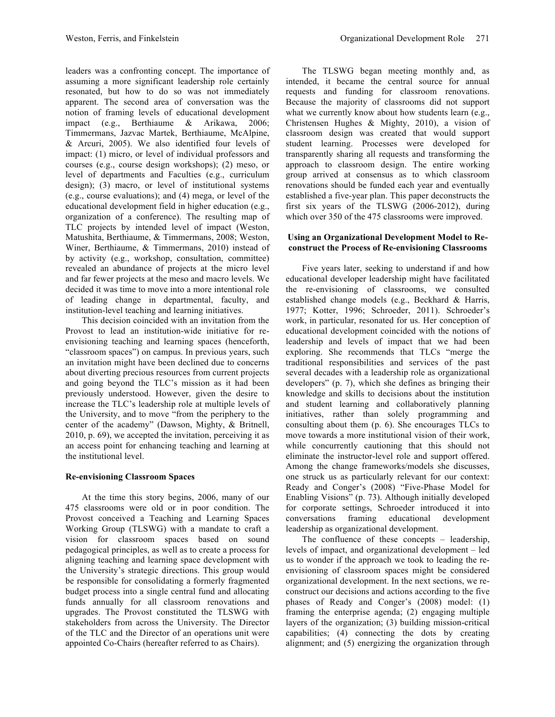leaders was a confronting concept. The importance of assuming a more significant leadership role certainly resonated, but how to do so was not immediately apparent. The second area of conversation was the notion of framing levels of educational development impact (e.g., Berthiaume & Arikawa, 2006; Timmermans, Jazvac Martek, Berthiaume, McAlpine, & Arcuri, 2005). We also identified four levels of impact: (1) micro, or level of individual professors and courses (e.g., course design workshops); (2) meso, or level of departments and Faculties (e.g., curriculum design); (3) macro, or level of institutional systems (e.g., course evaluations); and (4) mega, or level of the educational development field in higher education (e.g., organization of a conference). The resulting map of TLC projects by intended level of impact (Weston, Matushita, Berthiaume, & Timmermans, 2008; Weston, Winer, Berthiaume, & Timmermans, 2010) instead of by activity (e.g., workshop, consultation, committee) revealed an abundance of projects at the micro level and far fewer projects at the meso and macro levels. We decided it was time to move into a more intentional role of leading change in departmental, faculty, and institution-level teaching and learning initiatives.

This decision coincided with an invitation from the Provost to lead an institution-wide initiative for reenvisioning teaching and learning spaces (henceforth, "classroom spaces") on campus. In previous years, such an invitation might have been declined due to concerns about diverting precious resources from current projects and going beyond the TLC's mission as it had been previously understood. However, given the desire to increase the TLC's leadership role at multiple levels of the University, and to move "from the periphery to the center of the academy" (Dawson, Mighty, & Britnell, 2010, p. 69), we accepted the invitation, perceiving it as an access point for enhancing teaching and learning at the institutional level.

#### **Re-envisioning Classroom Spaces**

At the time this story begins, 2006, many of our 475 classrooms were old or in poor condition. The Provost conceived a Teaching and Learning Spaces Working Group (TLSWG) with a mandate to craft a vision for classroom spaces based on sound pedagogical principles, as well as to create a process for aligning teaching and learning space development with the University's strategic directions. This group would be responsible for consolidating a formerly fragmented budget process into a single central fund and allocating funds annually for all classroom renovations and upgrades. The Provost constituted the TLSWG with stakeholders from across the University. The Director of the TLC and the Director of an operations unit were appointed Co-Chairs (hereafter referred to as Chairs).

The TLSWG began meeting monthly and, as intended, it became the central source for annual requests and funding for classroom renovations. Because the majority of classrooms did not support what we currently know about how students learn (e.g., Christensen Hughes & Mighty, 2010), a vision of classroom design was created that would support student learning. Processes were developed for transparently sharing all requests and transforming the approach to classroom design. The entire working group arrived at consensus as to which classroom renovations should be funded each year and eventually established a five-year plan. This paper deconstructs the first six years of the TLSWG (2006-2012), during which over 350 of the 475 classrooms were improved.

#### **Using an Organizational Development Model to Reconstruct the Process of Re-envisioning Classrooms**

Five years later, seeking to understand if and how educational developer leadership might have facilitated the re-envisioning of classrooms, we consulted established change models (e.g., Beckhard & Harris, 1977; Kotter, 1996; Schroeder, 2011). Schroeder's work, in particular, resonated for us. Her conception of educational development coincided with the notions of leadership and levels of impact that we had been exploring. She recommends that TLCs "merge the traditional responsibilities and services of the past several decades with a leadership role as organizational developers" (p. 7), which she defines as bringing their knowledge and skills to decisions about the institution and student learning and collaboratively planning initiatives, rather than solely programming and consulting about them (p. 6). She encourages TLCs to move towards a more institutional vision of their work, while concurrently cautioning that this should not eliminate the instructor-level role and support offered. Among the change frameworks/models she discusses, one struck us as particularly relevant for our context: Ready and Conger's (2008) "Five-Phase Model for Enabling Visions" (p. 73). Although initially developed for corporate settings, Schroeder introduced it into conversations framing educational development leadership as organizational development.

The confluence of these concepts – leadership, levels of impact, and organizational development – led us to wonder if the approach we took to leading the reenvisioning of classroom spaces might be considered organizational development. In the next sections, we reconstruct our decisions and actions according to the five phases of Ready and Conger's (2008) model: (1) framing the enterprise agenda; (2) engaging multiple layers of the organization; (3) building mission-critical capabilities; (4) connecting the dots by creating alignment; and (5) energizing the organization through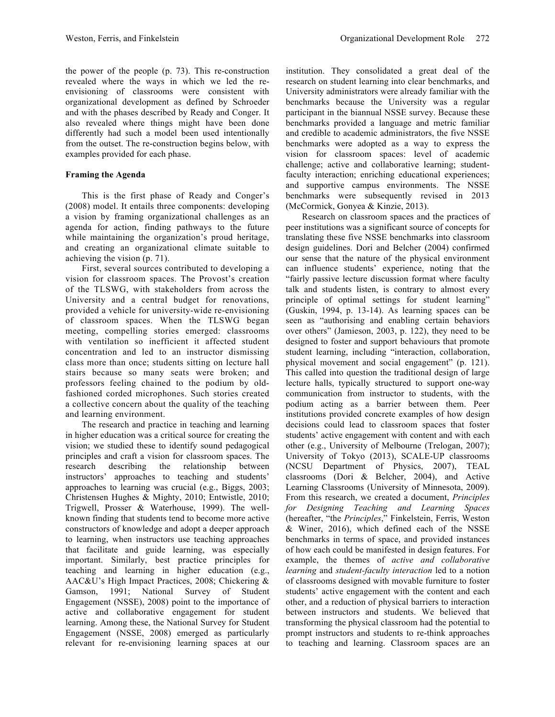the power of the people (p. 73). This re-construction revealed where the ways in which we led the reenvisioning of classrooms were consistent with organizational development as defined by Schroeder and with the phases described by Ready and Conger. It also revealed where things might have been done differently had such a model been used intentionally from the outset. The re-construction begins below, with examples provided for each phase.

### **Framing the Agenda**

This is the first phase of Ready and Conger's (2008) model. It entails three components: developing a vision by framing organizational challenges as an agenda for action, finding pathways to the future while maintaining the organization's proud heritage, and creating an organizational climate suitable to achieving the vision (p. 71).

First, several sources contributed to developing a vision for classroom spaces. The Provost's creation of the TLSWG, with stakeholders from across the University and a central budget for renovations, provided a vehicle for university-wide re-envisioning of classroom spaces. When the TLSWG began meeting, compelling stories emerged: classrooms with ventilation so inefficient it affected student concentration and led to an instructor dismissing class more than once; students sitting on lecture hall stairs because so many seats were broken; and professors feeling chained to the podium by oldfashioned corded microphones. Such stories created a collective concern about the quality of the teaching and learning environment.

The research and practice in teaching and learning in higher education was a critical source for creating the vision; we studied these to identify sound pedagogical principles and craft a vision for classroom spaces. The research describing the relationship between instructors' approaches to teaching and students' approaches to learning was crucial (e.g., Biggs, 2003; Christensen Hughes & Mighty, 2010; Entwistle, 2010; Trigwell, Prosser & Waterhouse, 1999). The wellknown finding that students tend to become more active constructors of knowledge and adopt a deeper approach to learning, when instructors use teaching approaches that facilitate and guide learning, was especially important. Similarly, best practice principles for teaching and learning in higher education (e.g., AAC&U's High Impact Practices, 2008; Chickering & Gamson, 1991; National Survey of Student Engagement (NSSE), 2008) point to the importance of active and collaborative engagement for student learning. Among these, the National Survey for Student Engagement (NSSE, 2008) emerged as particularly relevant for re-envisioning learning spaces at our institution. They consolidated a great deal of the research on student learning into clear benchmarks, and University administrators were already familiar with the benchmarks because the University was a regular participant in the biannual NSSE survey. Because these benchmarks provided a language and metric familiar and credible to academic administrators, the five NSSE benchmarks were adopted as a way to express the vision for classroom spaces: level of academic challenge; active and collaborative learning; studentfaculty interaction; enriching educational experiences; and supportive campus environments. The NSSE benchmarks were subsequently revised in 2013 (McCormick, Gonyea & Kinzie, 2013).

Research on classroom spaces and the practices of peer institutions was a significant source of concepts for translating these five NSSE benchmarks into classroom design guidelines. Dori and Belcher (2004) confirmed our sense that the nature of the physical environment can influence students' experience, noting that the "fairly passive lecture discussion format where faculty talk and students listen, is contrary to almost every principle of optimal settings for student learning" (Guskin, 1994, p. 13-14). As learning spaces can be seen as "authorising and enabling certain behaviors over others" (Jamieson, 2003, p. 122), they need to be designed to foster and support behaviours that promote student learning, including "interaction, collaboration, physical movement and social engagement" (p. 121). This called into question the traditional design of large lecture halls, typically structured to support one-way communication from instructor to students, with the podium acting as a barrier between them. Peer institutions provided concrete examples of how design decisions could lead to classroom spaces that foster students' active engagement with content and with each other (e.g., University of Melbourne (Trelogan, 2007); University of Tokyo (2013), SCALE-UP classrooms (NCSU Department of Physics, 2007), TEAL classrooms (Dori & Belcher, 2004), and Active Learning Classrooms (University of Minnesota, 2009). From this research, we created a document, *Principles for Designing Teaching and Learning Spaces*  (hereafter, "the *Principles*," Finkelstein, Ferris, Weston & Winer, 2016), which defined each of the NSSE benchmarks in terms of space, and provided instances of how each could be manifested in design features. For example, the themes of *active and collaborative learning* and *student-faculty interaction* led to a notion of classrooms designed with movable furniture to foster students' active engagement with the content and each other, and a reduction of physical barriers to interaction between instructors and students. We believed that transforming the physical classroom had the potential to prompt instructors and students to re-think approaches to teaching and learning. Classroom spaces are an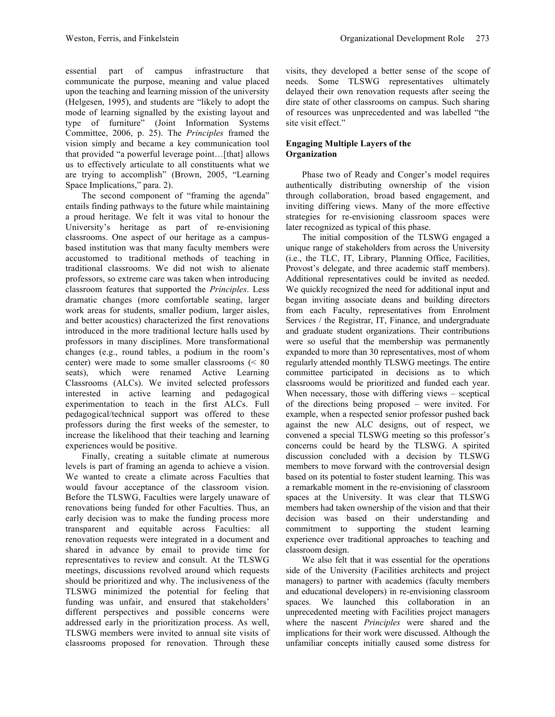essential part of campus infrastructure that communicate the purpose, meaning and value placed upon the teaching and learning mission of the university (Helgesen, 1995), and students are "likely to adopt the mode of learning signalled by the existing layout and type of furniture" (Joint Information Systems Committee, 2006, p. 25). The *Principles* framed the vision simply and became a key communication tool that provided "a powerful leverage point...[that] allows us to effectively articulate to all constituents what we are trying to accomplish" (Brown, 2005, "Learning Space Implications," para. 2).

The second component of "framing the agenda" entails finding pathways to the future while maintaining a proud heritage. We felt it was vital to honour the University's heritage as part of re-envisioning classrooms. One aspect of our heritage as a campusbased institution was that many faculty members were accustomed to traditional methods of teaching in traditional classrooms. We did not wish to alienate professors, so extreme care was taken when introducing classroom features that supported the *Principles*. Less dramatic changes (more comfortable seating, larger work areas for students, smaller podium, larger aisles, and better acoustics) characterized the first renovations introduced in the more traditional lecture halls used by professors in many disciplines. More transformational changes (e.g., round tables, a podium in the room's center) were made to some smaller classrooms (< 80 seats), which were renamed Active Learning Classrooms (ALCs). We invited selected professors interested in active learning and pedagogical experimentation to teach in the first ALCs. Full pedagogical/technical support was offered to these professors during the first weeks of the semester, to increase the likelihood that their teaching and learning experiences would be positive.

Finally, creating a suitable climate at numerous levels is part of framing an agenda to achieve a vision. We wanted to create a climate across Faculties that would favour acceptance of the classroom vision. Before the TLSWG, Faculties were largely unaware of renovations being funded for other Faculties. Thus, an early decision was to make the funding process more transparent and equitable across Faculties: all renovation requests were integrated in a document and shared in advance by email to provide time for representatives to review and consult. At the TLSWG meetings, discussions revolved around which requests should be prioritized and why. The inclusiveness of the TLSWG minimized the potential for feeling that funding was unfair, and ensured that stakeholders' different perspectives and possible concerns were addressed early in the prioritization process. As well, TLSWG members were invited to annual site visits of classrooms proposed for renovation. Through these

visits, they developed a better sense of the scope of needs. Some TLSWG representatives ultimately delayed their own renovation requests after seeing the dire state of other classrooms on campus. Such sharing of resources was unprecedented and was labelled "the site visit effect."

### **Engaging Multiple Layers of the Organization**

Phase two of Ready and Conger's model requires authentically distributing ownership of the vision through collaboration, broad based engagement, and inviting differing views. Many of the more effective strategies for re-envisioning classroom spaces were later recognized as typical of this phase.

The initial composition of the TLSWG engaged a unique range of stakeholders from across the University (i.e., the TLC, IT, Library, Planning Office, Facilities, Provost's delegate, and three academic staff members). Additional representatives could be invited as needed. We quickly recognized the need for additional input and began inviting associate deans and building directors from each Faculty, representatives from Enrolment Services / the Registrar, IT, Finance, and undergraduate and graduate student organizations. Their contributions were so useful that the membership was permanently expanded to more than 30 representatives, most of whom regularly attended monthly TLSWG meetings. The entire committee participated in decisions as to which classrooms would be prioritized and funded each year. When necessary, those with differing views – sceptical of the directions being proposed – were invited. For example, when a respected senior professor pushed back against the new ALC designs, out of respect, we convened a special TLSWG meeting so this professor's concerns could be heard by the TLSWG. A spirited discussion concluded with a decision by TLSWG members to move forward with the controversial design based on its potential to foster student learning. This was a remarkable moment in the re-envisioning of classroom spaces at the University. It was clear that TLSWG members had taken ownership of the vision and that their decision was based on their understanding and commitment to supporting the student learning experience over traditional approaches to teaching and classroom design.

We also felt that it was essential for the operations side of the University (Facilities architects and project managers) to partner with academics (faculty members and educational developers) in re-envisioning classroom spaces. We launched this collaboration in an unprecedented meeting with Facilities project managers where the nascent *Principles* were shared and the implications for their work were discussed. Although the unfamiliar concepts initially caused some distress for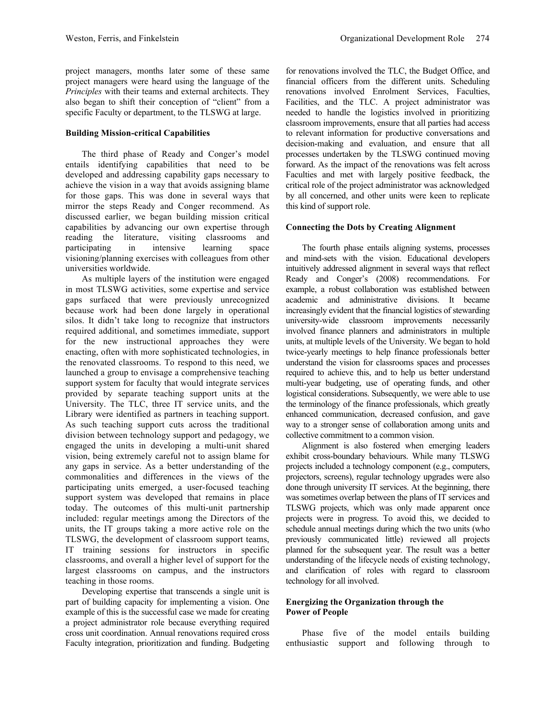project managers, months later some of these same project managers were heard using the language of the *Principles* with their teams and external architects. They also began to shift their conception of "client" from a specific Faculty or department, to the TLSWG at large.

### **Building Mission-critical Capabilities**

The third phase of Ready and Conger's model entails identifying capabilities that need to be developed and addressing capability gaps necessary to achieve the vision in a way that avoids assigning blame for those gaps. This was done in several ways that mirror the steps Ready and Conger recommend. As discussed earlier, we began building mission critical capabilities by advancing our own expertise through reading the literature, visiting classrooms and participating in intensive learning space visioning/planning exercises with colleagues from other universities worldwide.

As multiple layers of the institution were engaged in most TLSWG activities, some expertise and service gaps surfaced that were previously unrecognized because work had been done largely in operational silos. It didn't take long to recognize that instructors required additional, and sometimes immediate, support for the new instructional approaches they were enacting, often with more sophisticated technologies, in the renovated classrooms. To respond to this need, we launched a group to envisage a comprehensive teaching support system for faculty that would integrate services provided by separate teaching support units at the University. The TLC, three IT service units, and the Library were identified as partners in teaching support. As such teaching support cuts across the traditional division between technology support and pedagogy, we engaged the units in developing a multi-unit shared vision, being extremely careful not to assign blame for any gaps in service. As a better understanding of the commonalities and differences in the views of the participating units emerged, a user-focused teaching support system was developed that remains in place today. The outcomes of this multi-unit partnership included: regular meetings among the Directors of the units, the IT groups taking a more active role on the TLSWG, the development of classroom support teams, IT training sessions for instructors in specific classrooms, and overall a higher level of support for the largest classrooms on campus, and the instructors teaching in those rooms.

Developing expertise that transcends a single unit is part of building capacity for implementing a vision. One example of this is the successful case we made for creating a project administrator role because everything required cross unit coordination. Annual renovations required cross Faculty integration, prioritization and funding. Budgeting

for renovations involved the TLC, the Budget Office, and financial officers from the different units. Scheduling renovations involved Enrolment Services, Faculties, Facilities, and the TLC. A project administrator was needed to handle the logistics involved in prioritizing classroom improvements, ensure that all parties had access to relevant information for productive conversations and decision-making and evaluation, and ensure that all processes undertaken by the TLSWG continued moving forward. As the impact of the renovations was felt across Faculties and met with largely positive feedback, the critical role of the project administrator was acknowledged by all concerned, and other units were keen to replicate this kind of support role.

#### **Connecting the Dots by Creating Alignment**

The fourth phase entails aligning systems, processes and mind-sets with the vision. Educational developers intuitively addressed alignment in several ways that reflect Ready and Conger's (2008) recommendations. For example, a robust collaboration was established between academic and administrative divisions. It became increasingly evident that the financial logistics of stewarding university-wide classroom improvements necessarily involved finance planners and administrators in multiple units, at multiple levels of the University. We began to hold twice-yearly meetings to help finance professionals better understand the vision for classrooms spaces and processes required to achieve this, and to help us better understand multi-year budgeting, use of operating funds, and other logistical considerations. Subsequently, we were able to use the terminology of the finance professionals, which greatly enhanced communication, decreased confusion, and gave way to a stronger sense of collaboration among units and collective commitment to a common vision.

Alignment is also fostered when emerging leaders exhibit cross-boundary behaviours. While many TLSWG projects included a technology component (e.g., computers, projectors, screens), regular technology upgrades were also done through university IT services. At the beginning, there was sometimes overlap between the plans of IT services and TLSWG projects, which was only made apparent once projects were in progress. To avoid this, we decided to schedule annual meetings during which the two units (who previously communicated little) reviewed all projects planned for the subsequent year. The result was a better understanding of the lifecycle needs of existing technology, and clarification of roles with regard to classroom technology for all involved.

# **Energizing the Organization through the Power of People**

Phase five of the model entails building enthusiastic support and following through to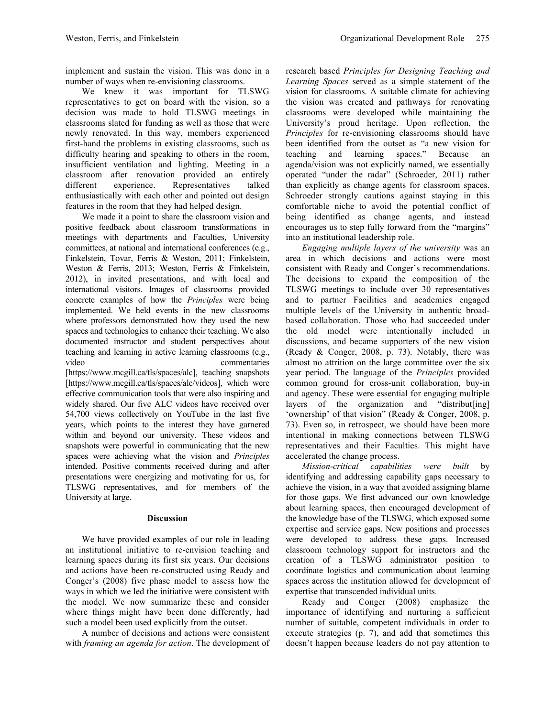implement and sustain the vision. This was done in a number of ways when re-envisioning classrooms.

We knew it was important for TLSWG representatives to get on board with the vision, so a decision was made to hold TLSWG meetings in classrooms slated for funding as well as those that were newly renovated. In this way, members experienced first-hand the problems in existing classrooms, such as difficulty hearing and speaking to others in the room, insufficient ventilation and lighting. Meeting in a classroom after renovation provided an entirely different experience. Representatives talked enthusiastically with each other and pointed out design features in the room that they had helped design.

We made it a point to share the classroom vision and positive feedback about classroom transformations in meetings with departments and Faculties, University committees, at national and international conferences (e.g., Finkelstein, Tovar, Ferris & Weston, 2011; Finkelstein, Weston & Ferris, 2013; Weston, Ferris & Finkelstein, 2012), in invited presentations, and with local and international visitors. Images of classrooms provided concrete examples of how the *Principles* were being implemented. We held events in the new classrooms where professors demonstrated how they used the new spaces and technologies to enhance their teaching. We also documented instructor and student perspectives about teaching and learning in active learning classrooms (e.g., video commentaries

[https://www.mcgill.ca/tls/spaces/alc], teaching snapshots [https://www.mcgill.ca/tls/spaces/alc/videos], which were effective communication tools that were also inspiring and widely shared. Our five ALC videos have received over 54,700 views collectively on YouTube in the last five years, which points to the interest they have garnered within and beyond our university. These videos and snapshots were powerful in communicating that the new spaces were achieving what the vision and *Principles* intended. Positive comments received during and after presentations were energizing and motivating for us, for TLSWG representatives, and for members of the University at large.

#### **Discussion**

We have provided examples of our role in leading an institutional initiative to re-envision teaching and learning spaces during its first six years. Our decisions and actions have been re-constructed using Ready and Conger's (2008) five phase model to assess how the ways in which we led the initiative were consistent with the model. We now summarize these and consider where things might have been done differently, had such a model been used explicitly from the outset.

A number of decisions and actions were consistent with *framing an agenda for action*. The development of research based *Principles for Designing Teaching and Learning Spaces* served as a simple statement of the vision for classrooms. A suitable climate for achieving the vision was created and pathways for renovating classrooms were developed while maintaining the University's proud heritage. Upon reflection, the *Principles* for re-envisioning classrooms should have been identified from the outset as "a new vision for teaching and learning spaces." Because an agenda/vision was not explicitly named, we essentially operated "under the radar" (Schroeder, 2011) rather than explicitly as change agents for classroom spaces. Schroeder strongly cautions against staying in this comfortable niche to avoid the potential conflict of being identified as change agents, and instead encourages us to step fully forward from the "margins" into an institutional leadership role.

*Engaging multiple layers of the university* was an area in which decisions and actions were most consistent with Ready and Conger's recommendations. The decisions to expand the composition of the TLSWG meetings to include over 30 representatives and to partner Facilities and academics engaged multiple levels of the University in authentic broadbased collaboration. Those who had succeeded under the old model were intentionally included in discussions, and became supporters of the new vision (Ready & Conger, 2008, p. 73). Notably, there was almost no attrition on the large committee over the six year period. The language of the *Principles* provided common ground for cross-unit collaboration, buy-in and agency. These were essential for engaging multiple layers of the organization and "distribut[ing] 'ownership' of that vision" (Ready & Conger, 2008, p. 73). Even so, in retrospect, we should have been more intentional in making connections between TLSWG representatives and their Faculties. This might have accelerated the change process.

*Mission-critical capabilities were built* by identifying and addressing capability gaps necessary to achieve the vision, in a way that avoided assigning blame for those gaps. We first advanced our own knowledge about learning spaces, then encouraged development of the knowledge base of the TLSWG, which exposed some expertise and service gaps. New positions and processes were developed to address these gaps. Increased classroom technology support for instructors and the creation of a TLSWG administrator position to coordinate logistics and communication about learning spaces across the institution allowed for development of expertise that transcended individual units.

Ready and Conger (2008) emphasize the importance of identifying and nurturing a sufficient number of suitable, competent individuals in order to execute strategies (p. 7), and add that sometimes this doesn't happen because leaders do not pay attention to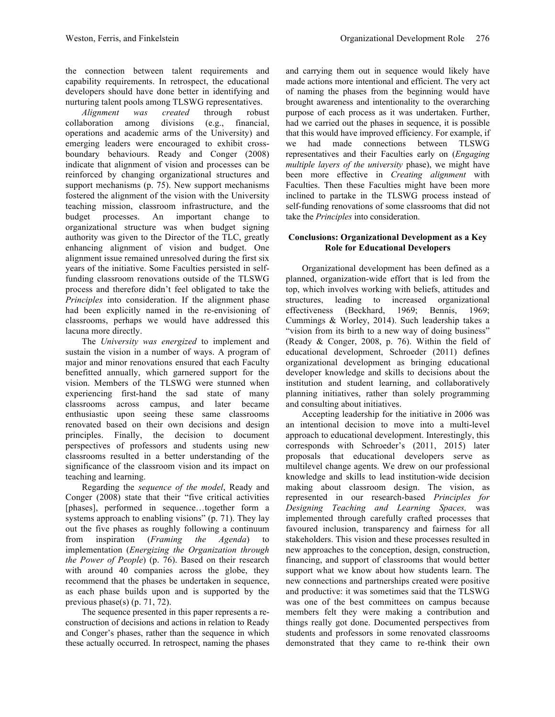the connection between talent requirements and capability requirements. In retrospect, the educational developers should have done better in identifying and nurturing talent pools among TLSWG representatives.

*Alignment was created* through robust collaboration among divisions (e.g., financial, operations and academic arms of the University) and emerging leaders were encouraged to exhibit crossboundary behaviours. Ready and Conger (2008) indicate that alignment of vision and processes can be reinforced by changing organizational structures and support mechanisms (p. 75). New support mechanisms fostered the alignment of the vision with the University teaching mission, classroom infrastructure, and the budget processes. An important change to organizational structure was when budget signing authority was given to the Director of the TLC, greatly enhancing alignment of vision and budget. One alignment issue remained unresolved during the first six years of the initiative. Some Faculties persisted in selffunding classroom renovations outside of the TLSWG process and therefore didn't feel obligated to take the *Principles* into consideration. If the alignment phase had been explicitly named in the re-envisioning of classrooms, perhaps we would have addressed this lacuna more directly.

The *University was energized* to implement and sustain the vision in a number of ways. A program of major and minor renovations ensured that each Faculty benefitted annually, which garnered support for the vision. Members of the TLSWG were stunned when experiencing first-hand the sad state of many classrooms across campus, and later became enthusiastic upon seeing these same classrooms renovated based on their own decisions and design principles. Finally, the decision to document perspectives of professors and students using new classrooms resulted in a better understanding of the significance of the classroom vision and its impact on teaching and learning.

Regarding the *sequence of the model*, Ready and Conger (2008) state that their "five critical activities [phases], performed in sequence…together form a systems approach to enabling visions" (p. 71). They lay out the five phases as roughly following a continuum from inspiration (*Framing the Agenda*) to implementation (*Energizing the Organization through the Power of People*) (p. 76). Based on their research with around 40 companies across the globe, they recommend that the phases be undertaken in sequence, as each phase builds upon and is supported by the previous phase(s) (p. 71, 72).

The sequence presented in this paper represents a reconstruction of decisions and actions in relation to Ready and Conger's phases, rather than the sequence in which these actually occurred. In retrospect, naming the phases and carrying them out in sequence would likely have made actions more intentional and efficient. The very act of naming the phases from the beginning would have brought awareness and intentionality to the overarching purpose of each process as it was undertaken. Further, had we carried out the phases in sequence, it is possible that this would have improved efficiency. For example, if we had made connections between TLSWG representatives and their Faculties early on (*Engaging multiple layers of the university* phase), we might have been more effective in *Creating alignment* with Faculties. Then these Faculties might have been more inclined to partake in the TLSWG process instead of self-funding renovations of some classrooms that did not take the *Principles* into consideration.

## **Conclusions: Organizational Development as a Key Role for Educational Developers**

Organizational development has been defined as a planned, organization-wide effort that is led from the top, which involves working with beliefs, attitudes and structures, leading to increased organizational effectiveness (Beckhard, 1969; Bennis, 1969; Cummings & Worley, 2014). Such leadership takes a "vision from its birth to a new way of doing business" (Ready & Conger, 2008, p. 76). Within the field of educational development, Schroeder (2011) defines organizational development as bringing educational developer knowledge and skills to decisions about the institution and student learning, and collaboratively planning initiatives, rather than solely programming and consulting about initiatives.

Accepting leadership for the initiative in 2006 was an intentional decision to move into a multi-level approach to educational development. Interestingly, this corresponds with Schroeder's (2011, 2015) later proposals that educational developers serve as multilevel change agents. We drew on our professional knowledge and skills to lead institution-wide decision making about classroom design. The vision, as represented in our research-based *Principles for Designing Teaching and Learning Spaces,* was implemented through carefully crafted processes that favoured inclusion, transparency and fairness for all stakeholders. This vision and these processes resulted in new approaches to the conception, design, construction, financing, and support of classrooms that would better support what we know about how students learn. The new connections and partnerships created were positive and productive: it was sometimes said that the TLSWG was one of the best committees on campus because members felt they were making a contribution and things really got done. Documented perspectives from students and professors in some renovated classrooms demonstrated that they came to re-think their own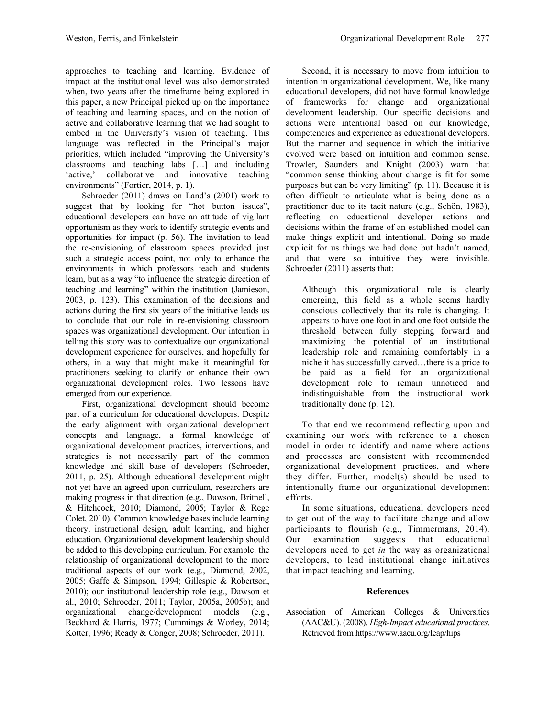approaches to teaching and learning. Evidence of impact at the institutional level was also demonstrated when, two years after the timeframe being explored in this paper, a new Principal picked up on the importance of teaching and learning spaces, and on the notion of active and collaborative learning that we had sought to embed in the University's vision of teaching. This language was reflected in the Principal's major priorities, which included "improving the University's classrooms and teaching labs […] and including 'active,' collaborative and innovative teaching environments" (Fortier, 2014, p. 1).

Schroeder (2011) draws on Land's (2001) work to suggest that by looking for "hot button issues", educational developers can have an attitude of vigilant opportunism as they work to identify strategic events and opportunities for impact (p. 56). The invitation to lead the re-envisioning of classroom spaces provided just such a strategic access point, not only to enhance the environments in which professors teach and students learn, but as a way "to influence the strategic direction of teaching and learning" within the institution (Jamieson, 2003, p. 123). This examination of the decisions and actions during the first six years of the initiative leads us to conclude that our role in re-envisioning classroom spaces was organizational development. Our intention in telling this story was to contextualize our organizational development experience for ourselves, and hopefully for others, in a way that might make it meaningful for practitioners seeking to clarify or enhance their own organizational development roles. Two lessons have emerged from our experience.

First, organizational development should become part of a curriculum for educational developers. Despite the early alignment with organizational development concepts and language, a formal knowledge of organizational development practices, interventions, and strategies is not necessarily part of the common knowledge and skill base of developers (Schroeder, 2011, p. 25). Although educational development might not yet have an agreed upon curriculum, researchers are making progress in that direction (e.g., Dawson, Britnell, & Hitchcock, 2010; Diamond, 2005; Taylor & Rege Colet, 2010). Common knowledge bases include learning theory, instructional design, adult learning, and higher education. Organizational development leadership should be added to this developing curriculum. For example: the relationship of organizational development to the more traditional aspects of our work (e.g., Diamond, 2002, 2005; Gaffe & Simpson, 1994; Gillespie & Robertson, 2010); our institutional leadership role (e.g., Dawson et al., 2010; Schroeder, 2011; Taylor, 2005a, 2005b); and organizational change/development models (e.g., Beckhard & Harris, 1977; Cummings & Worley, 2014; Kotter, 1996; Ready & Conger, 2008; Schroeder, 2011).

Second, it is necessary to move from intuition to intention in organizational development. We, like many educational developers, did not have formal knowledge of frameworks for change and organizational development leadership. Our specific decisions and actions were intentional based on our knowledge, competencies and experience as educational developers. But the manner and sequence in which the initiative evolved were based on intuition and common sense. Trowler, Saunders and Knight (2003) warn that "common sense thinking about change is fit for some purposes but can be very limiting" (p. 11). Because it is often difficult to articulate what is being done as a practitioner due to its tacit nature (e.g., Schön, 1983), reflecting on educational developer actions and decisions within the frame of an established model can make things explicit and intentional. Doing so made explicit for us things we had done but hadn't named, and that were so intuitive they were invisible. Schroeder (2011) asserts that:

Although this organizational role is clearly emerging, this field as a whole seems hardly conscious collectively that its role is changing. It appears to have one foot in and one foot outside the threshold between fully stepping forward and maximizing the potential of an institutional leadership role and remaining comfortably in a niche it has successfully carved…there is a price to be paid as a field for an organizational development role to remain unnoticed and indistinguishable from the instructional work traditionally done (p. 12).

To that end we recommend reflecting upon and examining our work with reference to a chosen model in order to identify and name where actions and processes are consistent with recommended organizational development practices, and where they differ. Further, model(s) should be used to intentionally frame our organizational development efforts.

In some situations, educational developers need to get out of the way to facilitate change and allow participants to flourish (e.g., Timmermans, 2014). Our examination suggests that educational developers need to get *in* the way as organizational developers, to lead institutional change initiatives that impact teaching and learning.

# **References**

Association of American Colleges & Universities (AAC&U). (2008). *High-Impact educational practices*. Retrieved from https://www.aacu.org/leap/hips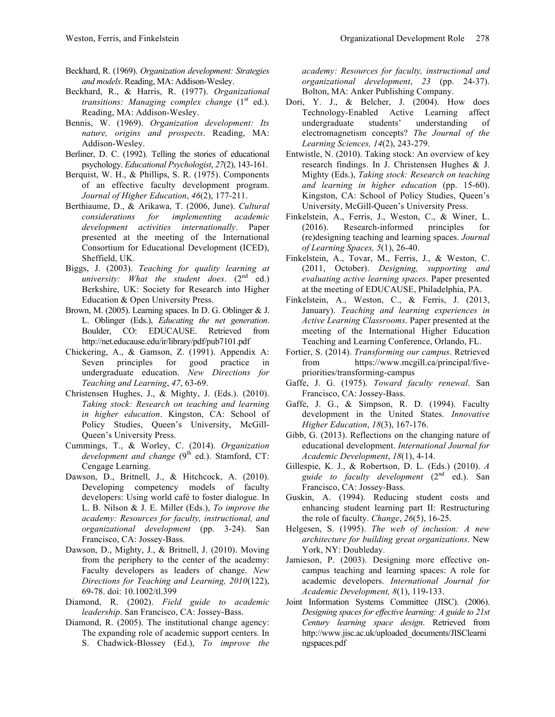- Beckhard, R. (1969). *Organization development: Strategies and models*. Reading, MA: Addison-Wesley.
- Beckhard, R., & Harris, R. (1977). *Organizational transitions: Managing complex change* (1<sup>st</sup> ed.). Reading, MA: Addison-Wesley.
- Bennis, W. (1969). *Organization development: Its nature, origins and prospects*. Reading, MA: Addison-Wesley.
- Berliner, D. C. (1992). Telling the stories of educational psychology. *Educational Psychologist*, *27*(2), 143-161.
- Berquist, W. H., & Phillips, S. R. (1975). Components of an effective faculty development program. *Journal of Higher Education*, *46*(2), 177-211.
- Berthiaume, D., & Arikawa, T. (2006, June). *Cultural considerations for implementing academic development activities internationally*. Paper presented at the meeting of the International Consortium for Educational Development (ICED), Sheffield, UK.
- Biggs, J. (2003). *Teaching for quality learning at*   $university: What the student does.  $(2^{nd}$  ed.)$ Berkshire, UK: Society for Research into Higher Education & Open University Press.
- Brown, M. (2005). Learning spaces. In D. G. Oblinger & J. L. Oblinger (Eds.), *Educating the net generation*. Boulder, CO: EDUCAUSE. Retrieved from http://net.educause.edu/ir/library/pdf/pub7101.pdf
- Chickering, A., & Gamson, Z. (1991). Appendix A: Seven principles for good practice in undergraduate education. *New Directions for Teaching and Learning*, *47*, 63-69.
- Christensen Hughes, J., & Mighty, J. (Eds.). (2010). *Taking stock: Research on teaching and learning in higher education*. Kingston, CA: School of Policy Studies, Queen's University, McGill-Queen's University Press.
- Cummings, T., & Worley, C. (2014). *Organization development and change*  $(9<sup>th</sup> ed.)$ . Stamford, CT: Cengage Learning.
- Dawson, D., Britnell, J., & Hitchcock, A. (2010). Developing competency models of faculty developers: Using world café to foster dialogue. In L. B. Nilson & J. E. Miller (Eds.), *To improve the academy: Resources for faculty, instructional, and organizational development* (pp. 3-24). San Francisco, CA: Jossey-Bass.
- Dawson, D., Mighty, J., & Britnell, J. (2010). Moving from the periphery to the center of the academy: Faculty developers as leaders of change. *New Directions for Teaching and Learning, 2010*(122), 69-78. doi: 10.1002/tl.399
- Diamond, R. (2002). *Field guide to academic leadership*. San Francisco, CA: Jossey-Bass.
- Diamond, R. (2005). The institutional change agency: The expanding role of academic support centers. In S. Chadwick-Blossey (Ed.), *To improve the*

*academy: Resources for faculty, instructional and organizational development*, *23* (pp. 24-37). Bolton, MA: Anker Publishing Company.

- Dori, Y. J., & Belcher, J. (2004). How does Technology-Enabled Active Learning affect undergraduate students' understanding of electromagnetism concepts? *The Journal of the Learning Sciences, 14*(2), 243-279.
- Entwistle, N. (2010). Taking stock: An overview of key research findings. In J. Christensen Hughes & J. Mighty (Eds.), *Taking stock: Research on teaching and learning in higher education* (pp. 15-60). Kingston, CA: School of Policy Studies, Queen's University, McGill-Queen's University Press.
- Finkelstein, A., Ferris, J., Weston, C., & Winer, L. (2016). Research-informed principles for (re)designing teaching and learning spaces. *Journal of Learning Spaces, 5*(1), 26-40.
- Finkelstein, A., Tovar, M., Ferris, J., & Weston, C. (2011, October). *Designing, supporting and evaluating active learning spaces*. Paper presented at the meeting of EDUCAUSE, Philadelphia, PA.
- Finkelstein, A., Weston, C., & Ferris, J. (2013, January). *Teaching and learning experiences in Active Learning Classrooms*. Paper presented at the meeting of the International Higher Education Teaching and Learning Conference, Orlando, FL.
- Fortier, S. (2014). *Transforming our campus*. Retrieved from https://www.mcgill.ca/principal/fivepriorities/transforming-campus
- Gaffe, J. G. (1975). *Toward faculty renewal*. San Francisco, CA: Jossey-Bass.
- Gaffe, J. G., & Simpson, R. D. (1994). Faculty development in the United States. *Innovative Higher Education*, *18*(3), 167-176.
- Gibb, G. (2013). Reflections on the changing nature of educational development. *International Journal for Academic Development*, *18*(1), 4-14.
- Gillespie, K. J., & Robertson, D. L. (Eds.) (2010). *A guide to faculty development* (2nd ed.). San Francisco, CA: Jossey-Bass.
- Guskin, A. (1994). Reducing student costs and enhancing student learning part II: Restructuring the role of faculty. *Change*, *26*(5), 16-25.
- Helgesen, S. (1995). *The web of inclusion: A new architecture for building great organizations*. New York, NY: Doubleday.
- Jamieson, P. (2003). Designing more effective oncampus teaching and learning spaces: A role for academic developers. *International Journal for Academic Development, 8*(1), 119-133.
- Joint Information Systems Committee (JISC). (2006). *Designing spaces for effective learning: A guide to 21st Century learning space design*. Retrieved from http://www.jisc.ac.uk/uploaded\_documents/JISClearni ngspaces.pdf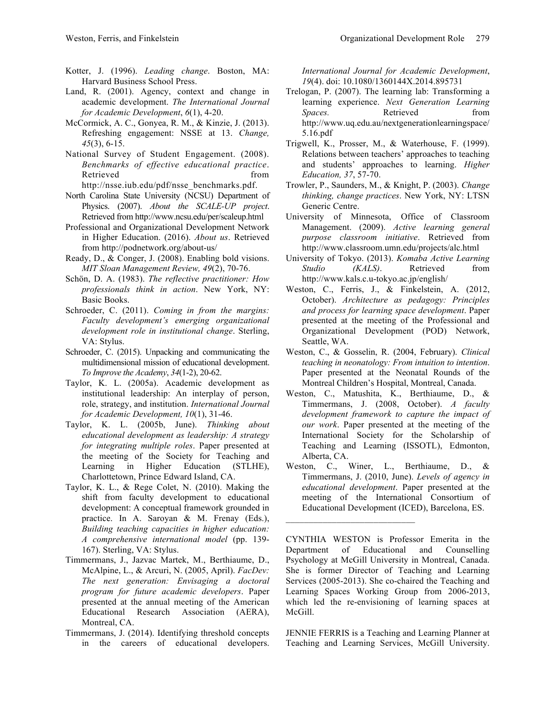- Kotter, J. (1996). *Leading change*. Boston, MA: Harvard Business School Press.
- Land, R. (2001). Agency, context and change in academic development. *The International Journal for Academic Development*, *6*(1), 4-20.
- McCormick, A. C., Gonyea, R. M., & Kinzie, J. (2013). Refreshing engagement: NSSE at 13. *Change, 45*(3), 6-15.
- National Survey of Student Engagement. (2008). *Benchmarks of effective educational practice*. Retrieved from the set of the set of the set of the set of the set of the set of the set of the set of the set of the set of the set of the set of the set of the set of the set of the set of the set of the set of the set o http://nsse.iub.edu/pdf/nsse\_benchmarks.pdf.
- North Carolina State University (NCSU) Department of Physics. (2007). *About the SCALE-UP project*. Retrieved from http://www.ncsu.edu/per/scaleup.html
- Professional and Organizational Development Network in Higher Education. (2016). *About us*. Retrieved from http://podnetwork.org/about-us/
- Ready, D., & Conger, J. (2008). Enabling bold visions. *MIT Sloan Management Review, 49*(2), 70-76.
- Schön, D. A. (1983). *The reflective practitioner: How professionals think in action*. New York, NY: Basic Books.
- Schroeder, C. (2011). *Coming in from the margins: Faculty development's emerging organizational development role in institutional change*. Sterling, VA: Stylus.
- Schroeder, C. (2015). Unpacking and communicating the multidimensional mission of educational development. *To Improve the Academy*, *34*(1-2), 20-62.
- Taylor, K. L. (2005a). Academic development as institutional leadership: An interplay of person, role, strategy, and institution. *International Journal for Academic Development, 10*(1), 31-46.
- Taylor, K. L. (2005b, June). *Thinking about educational development as leadership: A strategy for integrating multiple roles*. Paper presented at the meeting of the Society for Teaching and Learning in Higher Education (STLHE), Charlottetown, Prince Edward Island, CA.
- Taylor, K. L., & Rege Colet, N. (2010). Making the shift from faculty development to educational development: A conceptual framework grounded in practice. In A. Saroyan & M. Frenay (Eds.), *Building teaching capacities in higher education: A comprehensive international model* (pp. 139- 167). Sterling, VA: Stylus.
- Timmermans, J., Jazvac Martek, M., Berthiaume, D., McAlpine, L., & Arcuri, N. (2005, April). *FacDev: The next generation: Envisaging a doctoral program for future academic developers*. Paper presented at the annual meeting of the American Educational Research Association (AERA), Montreal, CA.
- Timmermans, J. (2014). Identifying threshold concepts in the careers of educational developers.

*International Journal for Academic Development*, *19*(4). doi: 10.1080/1360144X.2014.895731

- Trelogan, P. (2007). The learning lab: Transforming a learning experience. *Next Generation Learning Spaces.* Retrieved from http://www.uq.edu.au/nextgenerationlearningspace/ 5.16.pdf
- Trigwell, K., Prosser, M., & Waterhouse, F. (1999). Relations between teachers' approaches to teaching and students' approaches to learning. *Higher Education, 37*, 57-70.
- Trowler, P., Saunders, M., & Knight, P. (2003). *Change thinking, change practices*. New York, NY: LTSN Generic Centre.
- University of Minnesota, Office of Classroom Management. (2009). *Active learning general purpose classroom initiative*. Retrieved from http://www.classroom.umn.edu/projects/alc.html
- University of Tokyo. (2013). *Komaba Active Learning Studio (KALS)*. Retrieved from http://www.kals.c.u-tokyo.ac.jp/english/
- Weston, C., Ferris, J., & Finkelstein, A. (2012, October). *Architecture as pedagogy: Principles and process for learning space development*. Paper presented at the meeting of the Professional and Organizational Development (POD) Network, Seattle, WA.
- Weston, C., & Gosselin, R. (2004, February). *Clinical teaching in neonatology: From intuition to intention*. Paper presented at the Neonatal Rounds of the Montreal Children's Hospital, Montreal, Canada.
- Weston, C., Matushita, K., Berthiaume, D., & Timmermans, J. (2008, October). *A faculty development framework to capture the impact of our work*. Paper presented at the meeting of the International Society for the Scholarship of Teaching and Learning (ISSOTL), Edmonton, Alberta, CA.
- Weston, C., Winer, L., Berthiaume, D., & Timmermans, J. (2010, June). *Levels of agency in educational development*. Paper presented at the meeting of the International Consortium of Educational Development (ICED), Barcelona, ES.

JENNIE FERRIS is a Teaching and Learning Planner at Teaching and Learning Services, McGill University.

CYNTHIA WESTON is Professor Emerita in the Department of Educational and Counselling Psychology at McGill University in Montreal, Canada. She is former Director of Teaching and Learning Services (2005-2013). She co-chaired the Teaching and Learning Spaces Working Group from 2006-2013, which led the re-envisioning of learning spaces at McGill.